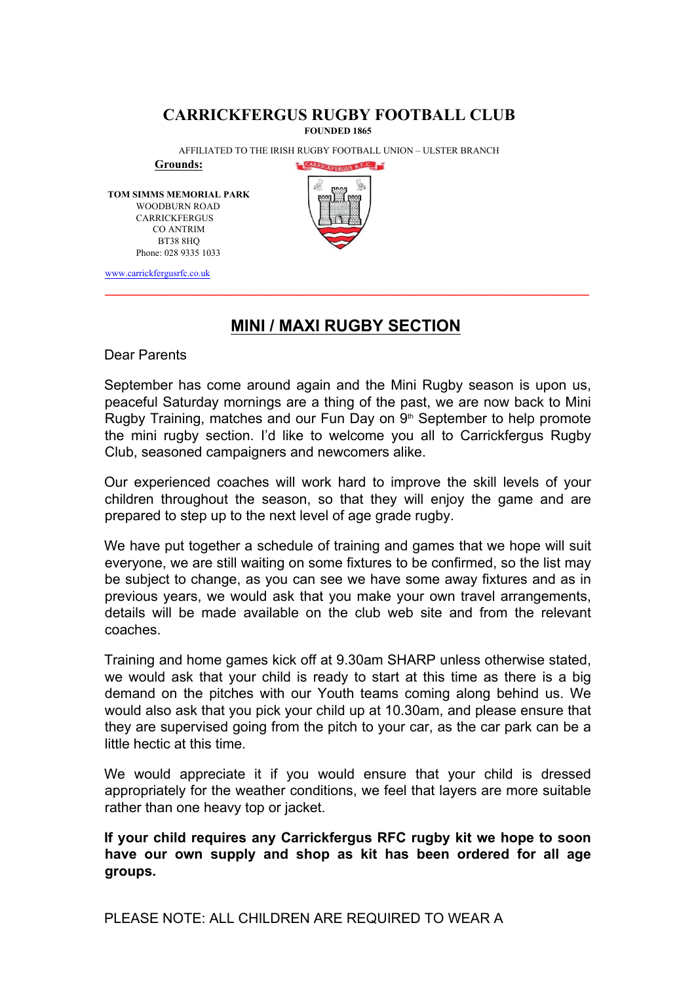## **CARRICKFERGUS RUGBY FOOTBALL CLUB**

**FOUNDED 1865** 

AFFILIATED TO THE IRISH RUGBY FOOTBALL UNION – ULSTER BRANCH

**Grounds:** 

**TOM SIMMS MEMORIAL PARK**  WOODBURN ROAD **CARRICKFERGUS** CO ANTRIM BT38 8HQ Phone: 028 9335 1033



www.carrickfergusrfc.co.uk

## **MINI / MAXI RUGBY SECTION**

**\_\_\_\_\_\_\_\_\_\_\_\_\_\_\_\_\_\_\_\_\_\_\_\_\_\_\_\_\_\_\_\_\_\_\_\_\_\_\_\_\_\_\_\_\_\_\_\_\_\_\_\_\_\_\_\_\_\_\_\_\_\_\_\_\_\_\_\_\_** 

Dear Parents

September has come around again and the Mini Rugby season is upon us, peaceful Saturday mornings are a thing of the past, we are now back to Mini Rugby Training, matches and our Fun Day on 9<sup>th</sup> September to help promote the mini rugby section. I'd like to welcome you all to Carrickfergus Rugby Club, seasoned campaigners and newcomers alike.

Our experienced coaches will work hard to improve the skill levels of your children throughout the season, so that they will enjoy the game and are prepared to step up to the next level of age grade rugby.

We have put together a schedule of training and games that we hope will suit everyone, we are still waiting on some fixtures to be confirmed, so the list may be subject to change, as you can see we have some away fixtures and as in previous years, we would ask that you make your own travel arrangements, details will be made available on the club web site and from the relevant coaches.

Training and home games kick off at 9.30am SHARP unless otherwise stated, we would ask that your child is ready to start at this time as there is a big demand on the pitches with our Youth teams coming along behind us. We would also ask that you pick your child up at 10.30am, and please ensure that they are supervised going from the pitch to your car, as the car park can be a little hectic at this time.

We would appreciate it if you would ensure that your child is dressed appropriately for the weather conditions, we feel that layers are more suitable rather than one heavy top or jacket.

**If your child requires any Carrickfergus RFC rugby kit we hope to soon have our own supply and shop as kit has been ordered for all age groups.** 

PLEASE NOTE: ALL CHILDREN ARE REQUIRED TO WEAR A